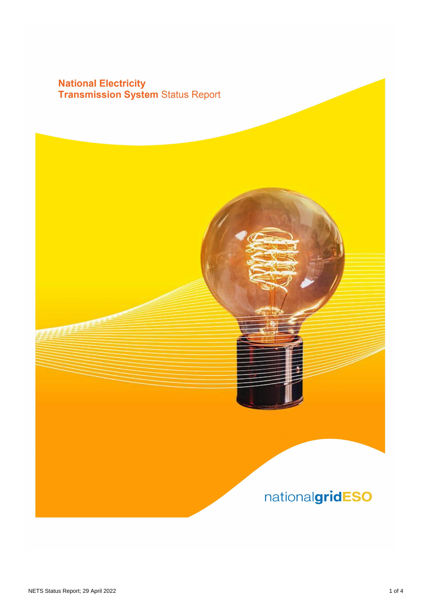## **National Electricity<br>Transmission System Status Report**

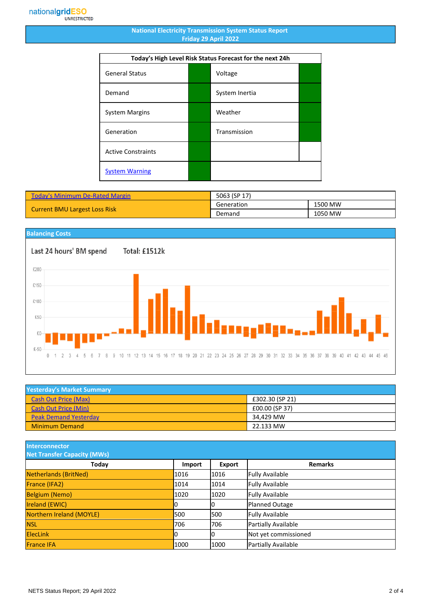## **National Electricity Transmission System Status Report Friday 29 April 2022**

| Today's High Level Risk Status Forecast for the next 24h |  |                |  |
|----------------------------------------------------------|--|----------------|--|
| <b>General Status</b>                                    |  | Voltage        |  |
| Demand                                                   |  | System Inertia |  |
| <b>System Margins</b>                                    |  | Weather        |  |
| Generation                                               |  | Transmission   |  |
| <b>Active Constraints</b>                                |  |                |  |
| <b>System Warning</b>                                    |  |                |  |

| <b>Today's Minimum De-Rated Margin</b> | 5063 (SP 17) |         |
|----------------------------------------|--------------|---------|
| <b>Current BMU Largest Loss Risk</b>   | Generation   | 1500 MW |
|                                        | Demand       | 1050 MW |



| <b>Yesterday's Market Summary</b> |                 |  |
|-----------------------------------|-----------------|--|
| <b>Cash Out Price (Max)</b>       | £302.30 (SP 21) |  |
| <b>Cash Out Price (Min)</b>       | £00.00 (SP 37)  |  |
| <b>Peak Demand Yesterday</b>      | 34.429 MW       |  |
| <b>Minimum Demand</b>             | 22.133 MW       |  |

**Interconnector**

| <b>Net Transfer Capacity (MWs)</b> |        |        |                        |
|------------------------------------|--------|--------|------------------------|
| Today                              | Import | Export | <b>Remarks</b>         |
| Netherlands (BritNed)              | 1016   | 1016   | <b>Fully Available</b> |
| France (IFA2)                      | 1014   | 1014   | <b>Fully Available</b> |
| <b>Belgium (Nemo)</b>              | 1020   | 1020   | <b>Fully Available</b> |
| <b>Ireland (EWIC)</b>              |        | 10     | Planned Outage         |
| Northern Ireland (MOYLE)           | 500    | 1500   | <b>Fully Available</b> |
| <b>NSL</b>                         | 706    | 706    | Partially Available    |
| <b>ElecLink</b>                    | 10     | IО     | Not yet commissioned   |
| <b>France IFA</b>                  | 1000   | 1000   | Partially Available    |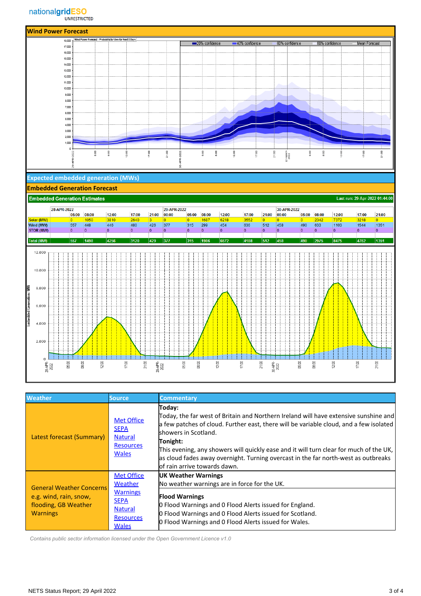

| <b>Weather</b>                                                                                       | <b>Source</b>                                                                                                        | <b>Commentary</b>                                                                                                                                                                                                                                                                                                                                                                                                                               |
|------------------------------------------------------------------------------------------------------|----------------------------------------------------------------------------------------------------------------------|-------------------------------------------------------------------------------------------------------------------------------------------------------------------------------------------------------------------------------------------------------------------------------------------------------------------------------------------------------------------------------------------------------------------------------------------------|
| Latest forecast (Summary)                                                                            | <b>Met Office</b><br><b>SEPA</b><br><b>Natural</b><br><b>Resources</b><br><b>Wales</b>                               | Today:<br>[Today, the far west of Britain and Northern Ireland will have extensive sunshine and<br>a few patches of cloud. Further east, there will be variable cloud, and a few isolated<br>lshowers in Scotland.<br>Tonight:<br>This evening, any showers will quickly ease and it will turn clear for much of the UK,<br>as cloud fades away overnight. Turning overcast in the far north-west as outbreaks<br>lof rain arrive towards dawn. |
| <b>General Weather Concerns</b><br>e.g. wind, rain, snow,<br>flooding, GB Weather<br><b>Warnings</b> | <b>Met Office</b><br>Weather<br><b>Warnings</b><br><b>SEPA</b><br><b>Natural</b><br><b>Resources</b><br><b>Wales</b> | <b>UK Weather Warnings</b><br>No weather warnings are in force for the UK.<br><b>Flood Warnings</b><br><b>O</b> Flood Warnings and O Flood Alerts issued for England.<br>O Flood Warnings and O Flood Alerts issued for Scotland.<br>O Flood Warnings and O Flood Alerts issued for Wales.                                                                                                                                                      |

 *Contains public sector information licensed under the Open Government Licence v1.0*